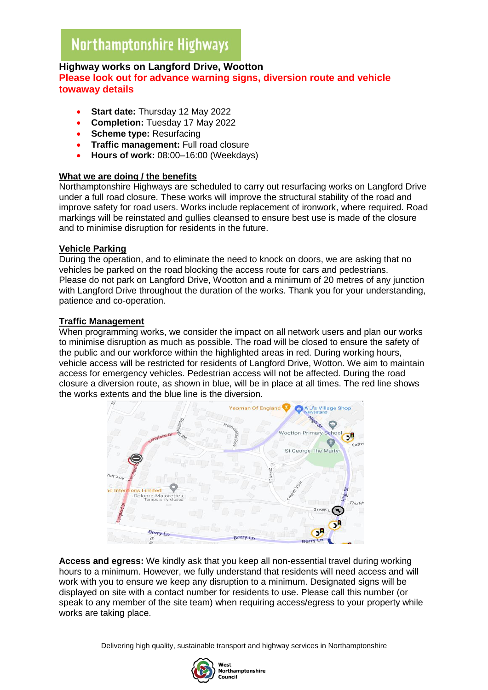# **Highway works on Langford Drive, Wootton**

## **Please look out for advance warning signs, diversion route and vehicle towaway details**

- **Start date:** Thursday 12 May 2022
- **Completion:** Tuesday 17 May 2022
- **Scheme type:** Resurfacing
- **Traffic management:** Full road closure
- **Hours of work:** 08:00–16:00 (Weekdays)

#### **What we are doing / the benefits**

Northamptonshire Highways are scheduled to carry out resurfacing works on Langford Drive under a full road closure. These works will improve the structural stability of the road and improve safety for road users. Works include replacement of ironwork, where required. Road markings will be reinstated and gullies cleansed to ensure best use is made of the closure and to minimise disruption for residents in the future.

#### **Vehicle Parking**

During the operation, and to eliminate the need to knock on doors, we are asking that no vehicles be parked on the road blocking the access route for cars and pedestrians. Please do not park on Langford Drive, Wootton and a minimum of 20 metres of any junction with Langford Drive throughout the duration of the works. Thank you for your understanding, patience and co-operation.

#### **Traffic Management**

When programming works, we consider the impact on all network users and plan our works to minimise disruption as much as possible. The road will be closed to ensure the safety of the public and our workforce within the highlighted areas in red. During working hours, vehicle access will be restricted for residents of Langford Drive, Wotton. We aim to maintain access for emergency vehicles. Pedestrian access will not be affected. During the road closure a diversion route, as shown in blue, will be in place at all times. The red line shows the works extents and the blue line is the diversion.



**Access and egress:** We kindly ask that you keep all non-essential travel during working hours to a minimum. However, we fully understand that residents will need access and will work with you to ensure we keep any disruption to a minimum. Designated signs will be displayed on site with a contact number for residents to use. Please call this number (or speak to any member of the site team) when requiring access/egress to your property while works are taking place.

Delivering high quality, sustainable transport and highway services in Northamptonshire